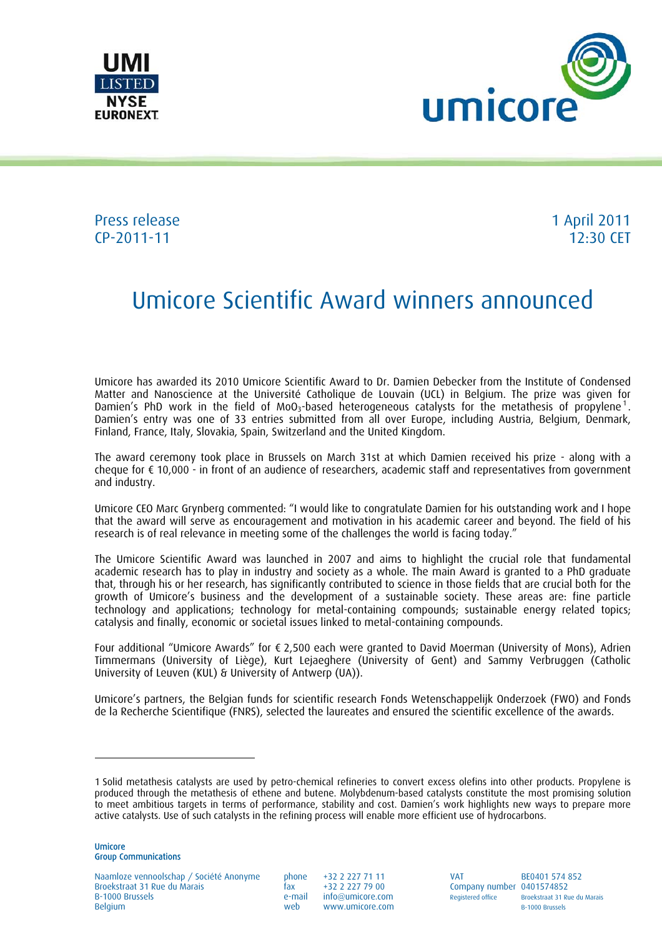



## Press release 1 April 2011 CP-2011-11 12:30 CET

# Umicore Scientific Award winners announced

Umicore has awarded its 2010 Umicore Scientific Award to Dr. Damien Debecker from the Institute of Condensed Matter and Nanoscience at the Université Catholique de Louvain (UCL) in Belgium. The prize was given for Damien's PhD work in the field of MoO<sub>3</sub>-based heterogeneous catalysts for the metathesis of propylene<sup>1</sup>. Damien's entry was one of 33 entries submitted from all over Europe, including Austria, Belgium, Denmark, Finland, France, Italy, Slovakia, Spain, Switzerland and the United Kingdom.

The award ceremony took place in Brussels on March 31st at which Damien received his prize - along with a cheque for  $\epsilon$  10,000 - in front of an audience of researchers, academic staff and representatives from government and industry.

Umicore CEO Marc Grynberg commented: "I would like to congratulate Damien for his outstanding work and I hope that the award will serve as encouragement and motivation in his academic career and beyond. The field of his research is of real relevance in meeting some of the challenges the world is facing today."

The Umicore Scientific Award was launched in 2007 and aims to highlight the crucial role that fundamental academic research has to play in industry and society as a whole. The main Award is granted to a PhD graduate that, through his or her research, has significantly contributed to science in those fields that are crucial both for the growth of Umicore's business and the development of a sustainable society. These areas are: fine particle technology and applications; technology for metal-containing compounds; sustainable energy related topics; catalysis and finally, economic or societal issues linked to metal-containing compounds.

Four additional "Umicore Awards" for € 2,500 each were granted to David Moerman (University of Mons), Adrien Timmermans (University of Liège), Kurt Lejaeghere (University of Gent) and Sammy Verbruggen (Catholic University of Leuven (KUL) & University of Antwerp (UA)).

Umicore's partners, the Belgian funds for scientific research Fonds Wetenschappelijk Onderzoek (FWO) and Fonds de la Recherche Scientifique (FNRS), selected the laureates and ensured the scientific excellence of the awards.

l

Naamloze vennoolschap / Société Anonyme phone +32 2 227 71 11 VAT BE0401 574 852 Broekstraat 31 Rue du Marais fax +32 2 227 79 00 Company number 0401574852 B-1000 Brussels e-mail info@umicore.com Registered office Broekstraat 31 Rue du Marais<br>Belgium Belgium Belgium Registered and the Registered office Registered office B-1000 Brussels

 $www.$ umicore.com

<sup>1</sup> Solid metathesis catalysts are used by petro-chemical refineries to convert excess olefins into other products. Propylene is produced through the metathesis of ethene and butene. Molybdenum-based catalysts constitute the most promising solution to meet ambitious targets in terms of performance, stability and cost. Damien's work highlights new ways to prepare more active catalysts. Use of such catalysts in the refining process will enable more efficient use of hydrocarbons.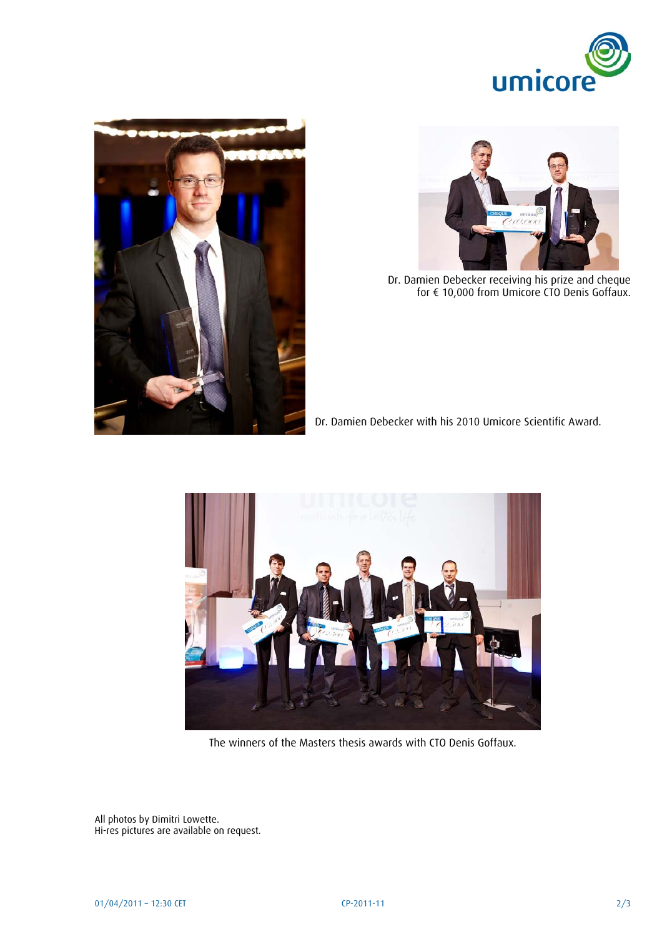





Dr. Damien Debecker receiving his prize and cheque for  $\epsilon$  10,000 from Umicore CTO Denis Goffaux.

Dr. Damien Debecker with his 2010 Umicore Scientific Award.



The winners of the Masters thesis awards with CTO Denis Goffaux.

All photos by Dimitri Lowette. Hi-res pictures are available on request.